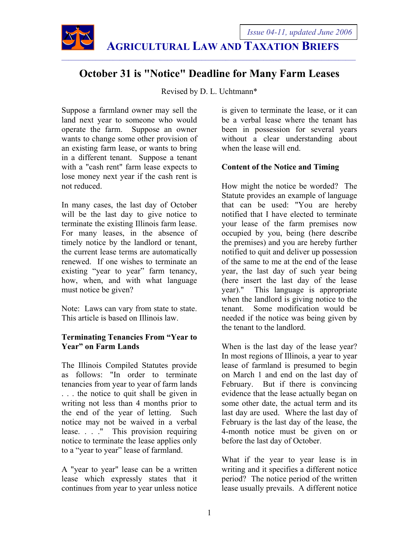

# $\mathcal{L}_\mathcal{L} = \{ \mathcal{L}_\mathcal{L} = \{ \mathcal{L}_\mathcal{L} = \{ \mathcal{L}_\mathcal{L} = \{ \mathcal{L}_\mathcal{L} = \{ \mathcal{L}_\mathcal{L} = \{ \mathcal{L}_\mathcal{L} = \{ \mathcal{L}_\mathcal{L} = \{ \mathcal{L}_\mathcal{L} = \{ \mathcal{L}_\mathcal{L} = \{ \mathcal{L}_\mathcal{L} = \{ \mathcal{L}_\mathcal{L} = \{ \mathcal{L}_\mathcal{L} = \{ \mathcal{L}_\mathcal{L} = \{ \mathcal{L}_\mathcal{$

## **October 31 is "Notice" Deadline for Many Farm Leases**

Revised by D. L. Uchtmann\*

Suppose a farmland owner may sell the land next year to someone who would operate the farm. Suppose an owner wants to change some other provision of an existing farm lease, or wants to bring in a different tenant. Suppose a tenant with a "cash rent" farm lease expects to lose money next year if the cash rent is not reduced.

In many cases, the last day of October will be the last day to give notice to terminate the existing Illinois farm lease. For many leases, in the absence of timely notice by the landlord or tenant, the current lease terms are automatically renewed. If one wishes to terminate an existing "year to year" farm tenancy, how, when, and with what language must notice be given?

Note: Laws can vary from state to state. This article is based on Illinois law.

## **Terminating Tenancies From "Year to Year" on Farm Lands**

The Illinois Compiled Statutes provide as follows: "In order to terminate tenancies from year to year of farm lands ... the notice to quit shall be given in writing not less than 4 months prior to the end of the year of letting. Such notice may not be waived in a verbal lease. . . ." This provision requiring notice to terminate the lease applies only to a "year to year" lease of farmland.

A "year to year" lease can be a written lease which expressly states that it continues from year to year unless notice

is given to terminate the lease, or it can be a verbal lease where the tenant has been in possession for several years without a clear understanding about when the lease will end.

## **Content of the Notice and Timing**

How might the notice be worded? The Statute provides an example of language that can be used: "You are hereby notified that I have elected to terminate your lease of the farm premises now occupied by you, being (here describe the premises) and you are hereby further notified to quit and deliver up possession of the same to me at the end of the lease year, the last day of such year being (here insert the last day of the lease year)." This language is appropriate when the landlord is giving notice to the tenant. Some modification would be needed if the notice was being given by the tenant to the landlord.

When is the last day of the lease year? In most regions of Illinois, a year to year lease of farmland is presumed to begin on March 1 and end on the last day of February. But if there is convincing evidence that the lease actually began on some other date, the actual term and its last day are used. Where the last day of February is the last day of the lease, the 4-month notice must be given on or before the last day of October.

What if the year to year lease is in writing and it specifies a different notice period? The notice period of the written lease usually prevails. A different notice